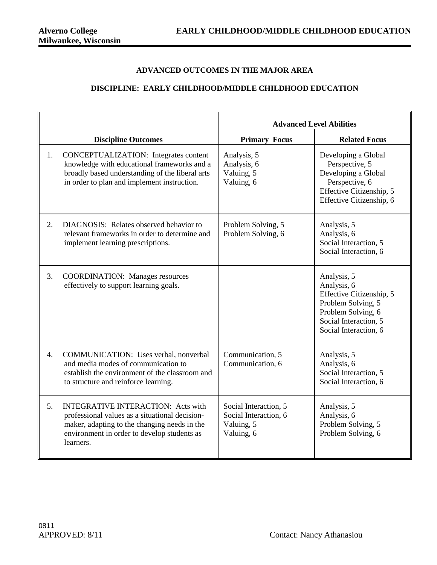## **ADVANCED OUTCOMES IN THE MAJOR AREA**

## **DISCIPLINE: EARLY CHILDHOOD/MIDDLE CHILDHOOD EDUCATION**

|    |                                                                                                                                                                                                         |                                                                            | <b>Advanced Level Abilities</b>                                                                                                                      |
|----|---------------------------------------------------------------------------------------------------------------------------------------------------------------------------------------------------------|----------------------------------------------------------------------------|------------------------------------------------------------------------------------------------------------------------------------------------------|
|    | <b>Discipline Outcomes</b>                                                                                                                                                                              | <b>Primary Focus</b>                                                       | <b>Related Focus</b>                                                                                                                                 |
| 1. | <b>CONCEPTUALIZATION:</b> Integrates content<br>knowledge with educational frameworks and a<br>broadly based understanding of the liberal arts<br>in order to plan and implement instruction.           | Analysis, 5<br>Analysis, 6<br>Valuing, 5<br>Valuing, 6                     | Developing a Global<br>Perspective, 5<br>Developing a Global<br>Perspective, 6<br>Effective Citizenship, 5<br>Effective Citizenship, 6               |
| 2. | DIAGNOSIS: Relates observed behavior to<br>relevant frameworks in order to determine and<br>implement learning prescriptions.                                                                           | Problem Solving, 5<br>Problem Solving, 6                                   | Analysis, 5<br>Analysis, 6<br>Social Interaction, 5<br>Social Interaction, 6                                                                         |
| 3. | <b>COORDINATION:</b> Manages resources<br>effectively to support learning goals.                                                                                                                        |                                                                            | Analysis, 5<br>Analysis, 6<br>Effective Citizenship, 5<br>Problem Solving, 5<br>Problem Solving, 6<br>Social Interaction, 5<br>Social Interaction, 6 |
| 4. | COMMUNICATION: Uses verbal, nonverbal<br>and media modes of communication to<br>establish the environment of the classroom and<br>to structure and reinforce learning.                                  | Communication, 5<br>Communication, 6                                       | Analysis, 5<br>Analysis, 6<br>Social Interaction, 5<br>Social Interaction, 6                                                                         |
| 5. | <b>INTEGRATIVE INTERACTION: Acts with</b><br>professional values as a situational decision-<br>maker, adapting to the changing needs in the<br>environment in order to develop students as<br>learners. | Social Interaction, 5<br>Social Interaction, 6<br>Valuing, 5<br>Valuing, 6 | Analysis, 5<br>Analysis, 6<br>Problem Solving, 5<br>Problem Solving, 6                                                                               |